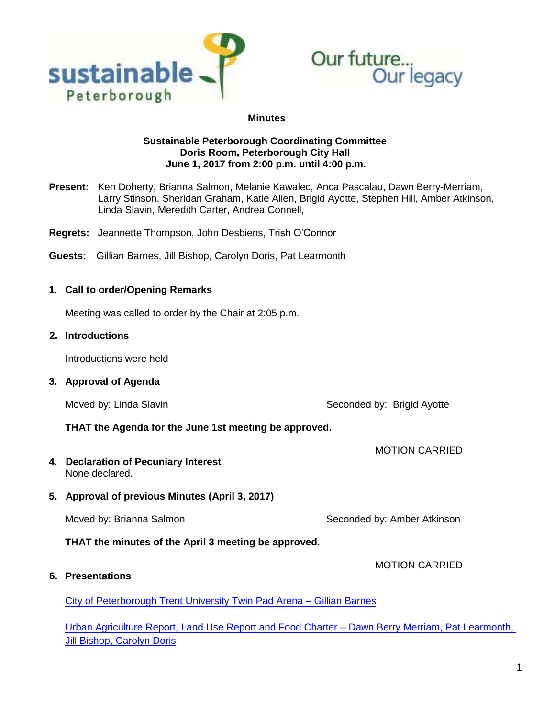



#### **Minutes**

### **Sustainable Peterborough Coordinating Committee Doris Room, Peterborough City Hall June 1, 2017 from 2:00 p.m. until 4:00 p.m.**

- **Present:** Ken Doherty, Brianna Salmon, Melanie Kawalec, Anca Pascalau, Dawn Berry-Merriam, Larry Stinson, Sheridan Graham, Katie Allen, Brigid Ayotte, Stephen Hill, Amber Atkinson, Linda Slavin, Meredith Carter, Andrea Connell,
- **Regrets:** Jeannette Thompson, John Desbiens, Trish O'Connor
- **Guests**: Gillian Barnes, Jill Bishop, Carolyn Doris, Pat Learmonth

### **1. Call to order/Opening Remarks**

Meeting was called to order by the Chair at 2:05 p.m.

#### **2. Introductions**

Introductions were held

**3. Approval of Agenda**

Moved by: Linda Slavin Seconded by: Brigid Ayotte

#### **THAT the Agenda for the June 1st meeting be approved.**

**4. Declaration of Pecuniary Interest** None declared.

### **5. Approval of previous Minutes (April 3, 2017)**

Moved by: Brianna Salmon Summann Seconded by: Amber Atkinson

**THAT the minutes of the April 3 meeting be approved.**

MOTION CARRIED

MOTION CARRIED

### **6. Presentations**

[City of Peterborough Trent University Twin Pad Arena –](https://sustainablepeterborough.ca/wp-content/uploads/2017/03/CITY-OF-PETERBOROUGH_ARENA-AQUATIC-COMPLEX_23-05-2017.compressed.pdf) Gillian Barnes

[Urban Agriculture Report, Land Use Report and Food Charter –](https://sustainablepeterborough.ca/wp-content/uploads/2017/03/SP-presentations-June-1-2017.pdf) Dawn Berry Merriam, Pat Learmonth, [Jill Bishop, Carolyn Doris](https://sustainablepeterborough.ca/wp-content/uploads/2017/03/SP-presentations-June-1-2017.pdf)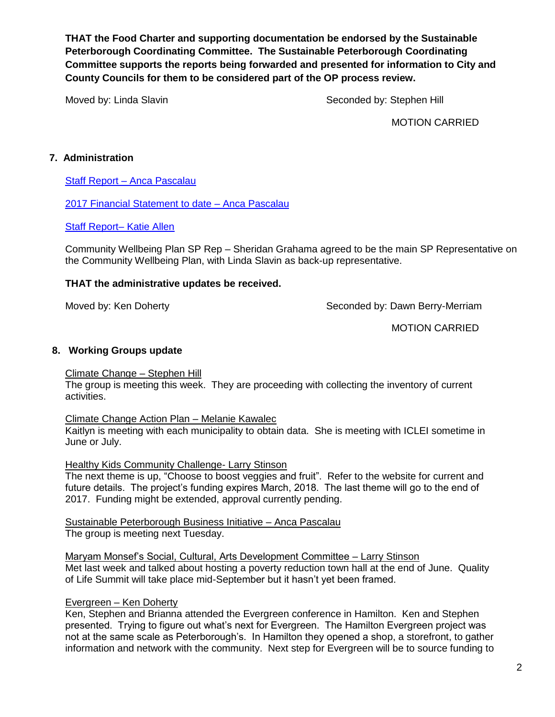**THAT the Food Charter and supporting documentation be endorsed by the Sustainable Peterborough Coordinating Committee. The Sustainable Peterborough Coordinating Committee supports the reports being forwarded and presented for information to City and County Councils for them to be considered part of the OP process review.**

Moved by: Linda Slavin Seconded by: Stephen Hill

MOTION CARRIED

## **7. Administration**

Staff Report – [Anca Pascalau](https://sustainablepeterborough.ca/wp-content/uploads/2017/03/Staff-Report-June-1-Anca.pdf)

[2017 Financial Statement to date –](https://sustainablepeterborough.ca/wp-content/uploads/2017/03/2017-financial-statement-to-May-25.pdf) Anca Pascalau

[Staff Report–](https://sustainablepeterborough.ca/wp-content/uploads/2017/03/May2017update.pdf) Katie Allen

Community Wellbeing Plan SP Rep – Sheridan Grahama agreed to be the main SP Representative on the Community Wellbeing Plan, with Linda Slavin as back-up representative.

### **THAT the administrative updates be received.**

Moved by: Ken Doherty Network Seconded by: Dawn Berry-Merriam

MOTION CARRIED

### **8. Working Groups update**

### Climate Change – Stephen Hill

The group is meeting this week. They are proceeding with collecting the inventory of current activities.

### Climate Change Action Plan – Melanie Kawalec

Kaitlyn is meeting with each municipality to obtain data. She is meeting with ICLEI sometime in June or July.

Healthy Kids Community Challenge- Larry Stinson

The next theme is up, "Choose to boost veggies and fruit". Refer to the website for current and future details. The project's funding expires March, 2018. The last theme will go to the end of 2017. Funding might be extended, approval currently pending.

Sustainable Peterborough Business Initiative – Anca Pascalau The group is meeting next Tuesday.

Maryam Monsef's Social, Cultural, Arts Development Committee – Larry Stinson Met last week and talked about hosting a poverty reduction town hall at the end of June. Quality of Life Summit will take place mid-September but it hasn't yet been framed.

### Evergreen – Ken Doherty

Ken, Stephen and Brianna attended the Evergreen conference in Hamilton. Ken and Stephen presented. Trying to figure out what's next for Evergreen. The Hamilton Evergreen project was not at the same scale as Peterborough's. In Hamilton they opened a shop, a storefront, to gather information and network with the community. Next step for Evergreen will be to source funding to